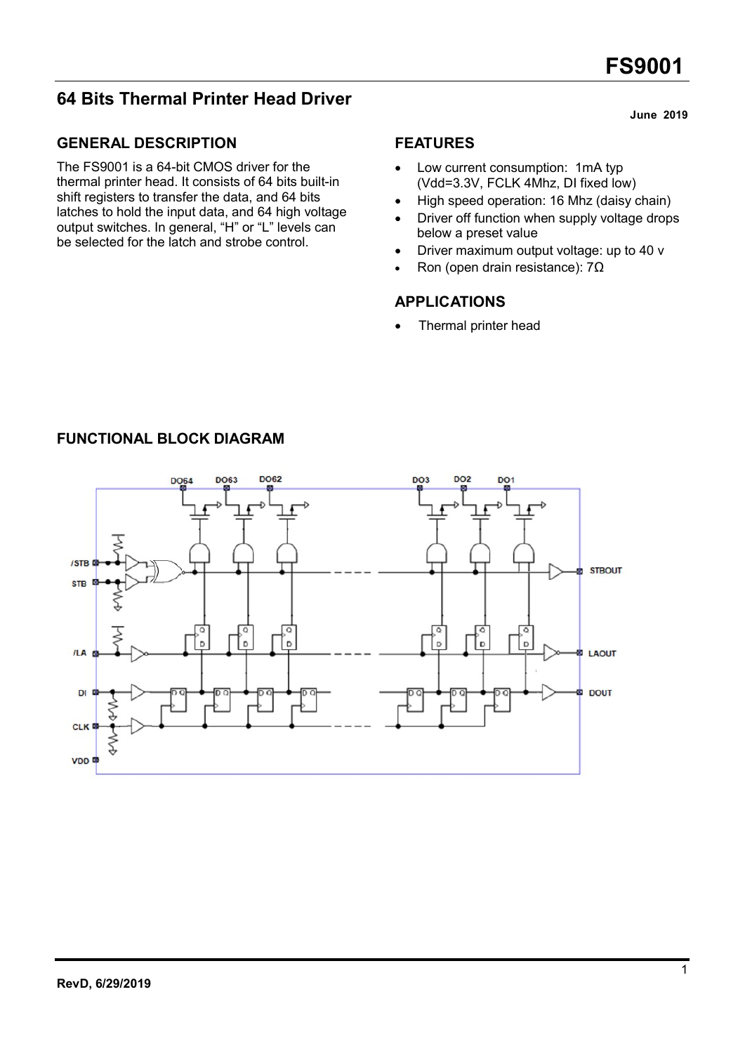# 64 Bits Thermal Printer Head Driver

## GENERAL DESCRIPTION

The FS9001 is a 64-bit CMOS driver for the thermal printer head. It consists of 64 bits built-in shift registers to transfer the data, and 64 bits latches to hold the input data, and 64 high voltage output switches. In general, "H" or "L" levels can be selected for the latch and strobe control.

### FEATURES

- Low current consumption: 1mA typ (Vdd=3.3V, FCLK 4Mhz, DI fixed low)
- High speed operation: 16 Mhz (daisy chain)
- Driver off function when supply voltage drops below a preset value
- Driver maximum output voltage: up to 40 v
- Ron (open drain resistance): 7Ω

### APPLICATIONS

Thermal printer head



## FUNCTIONAL BLOCK DIAGRAM

#### June 2019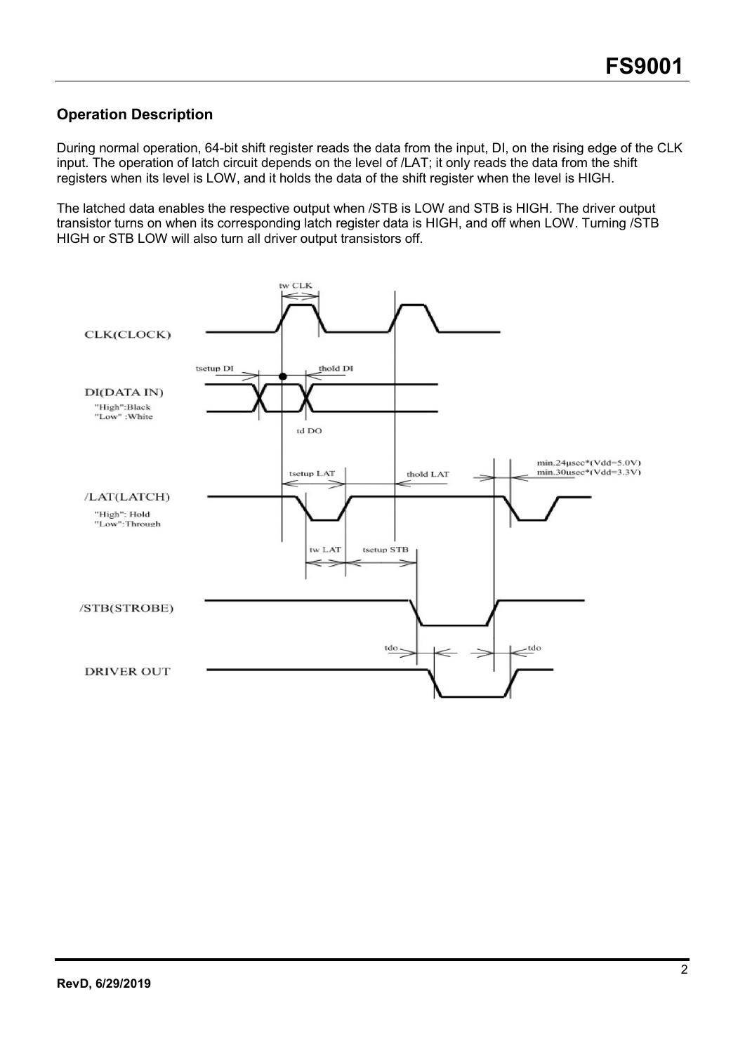## Operation Description

During normal operation, 64-bit shift register reads the data from the input, DI, on the rising edge of the CLK input. The operation of latch circuit depends on the level of /LAT; it only reads the data from the shift registers when its level is LOW, and it holds the data of the shift register when the level is HIGH.

The latched data enables the respective output when /STB is LOW and STB is HIGH. The driver output transistor turns on when its corresponding latch register data is HIGH, and off when LOW. Turning /STB HIGH or STB LOW will also turn all driver output transistors off.

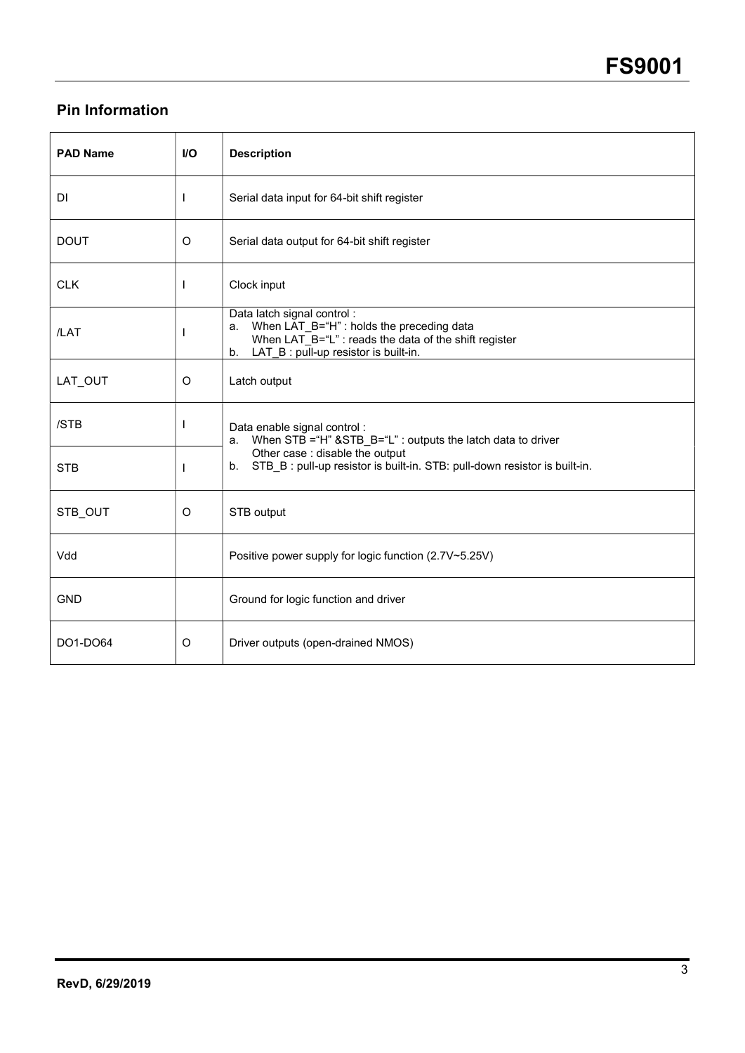# Pin Information

| <b>PAD Name</b> | <b>I/O</b>   | <b>Description</b>                                                                                                                                                                    |
|-----------------|--------------|---------------------------------------------------------------------------------------------------------------------------------------------------------------------------------------|
| DI              | $\mathbf{I}$ | Serial data input for 64-bit shift register                                                                                                                                           |
| <b>DOUT</b>     | $\circ$      | Serial data output for 64-bit shift register                                                                                                                                          |
| <b>CLK</b>      | <b>I</b>     | Clock input                                                                                                                                                                           |
| /LAT            | $\mathbf{I}$ | Data latch signal control:<br>When LAT_B="H" : holds the preceding data<br>a.<br>When LAT_B="L" : reads the data of the shift register<br>LAT_B : pull-up resistor is built-in.<br>b. |
| LAT OUT         | O            | Latch output                                                                                                                                                                          |
| /STB            | I            | Data enable signal control :<br>When STB = "H" & STB_B= "L" : outputs the latch data to driver<br>a.                                                                                  |
| <b>STB</b>      | $\mathbf{I}$ | Other case : disable the output<br>STB B: pull-up resistor is built-in. STB: pull-down resistor is built-in.<br>b.                                                                    |
| STB OUT         | O            | STB output                                                                                                                                                                            |
| Vdd             |              | Positive power supply for logic function (2.7V~5.25V)                                                                                                                                 |
| <b>GND</b>      |              | Ground for logic function and driver                                                                                                                                                  |
| DO1-DO64        | O            | Driver outputs (open-drained NMOS)                                                                                                                                                    |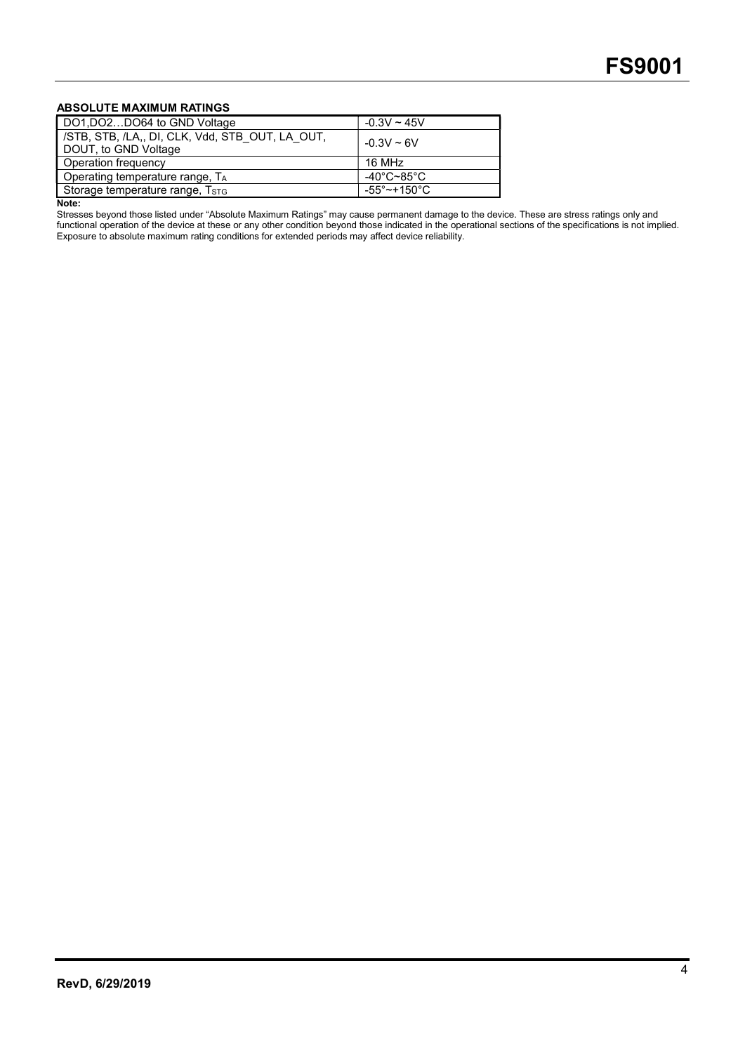#### ABSOLUTE MAXIMUM RATINGS

| DO1, DO2DO64 to GND Voltage                                             | $-0.3V \sim 45V$                 |
|-------------------------------------------------------------------------|----------------------------------|
| /STB, STB, /LA,, DI, CLK, Vdd, STB OUT, LA OUT,<br>DOUT, to GND Voltage | $-0.3V \sim 6V$                  |
| Operation frequency                                                     | 16 MHz                           |
| Operating temperature range, TA                                         | -40°C~85°C                       |
| Storage temperature range, T <sub>STG</sub>                             | $-55^{\circ}$ ~+150 $^{\circ}$ C |

Note:

Stresses beyond those listed under "Absolute Maximum Ratings" may cause permanent damage to the device. These are stress ratings only and functional operation of the device at these or any other condition beyond those indicated in the operational sections of the specifications is not implied. Exposure to absolute maximum rating conditions for extended periods may affect device reliability.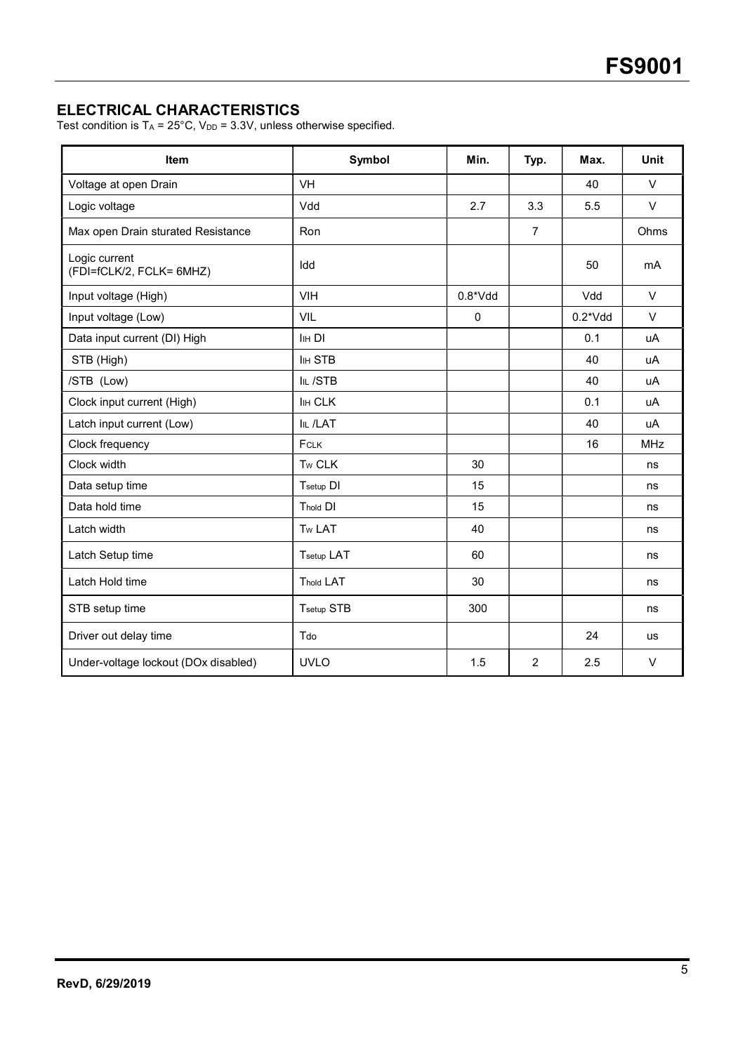## ELECTRICAL CHARACTERISTICS

Test condition is  $T_A = 25^{\circ}$ C, V<sub>DD</sub> = 3.3V, unless otherwise specified.

| Item                                      | Symbol            | Min.      | Typ.           | Max.      | Unit       |
|-------------------------------------------|-------------------|-----------|----------------|-----------|------------|
| Voltage at open Drain                     | VH                |           |                | 40        | $\vee$     |
| Logic voltage                             | Vdd               | 2.7       | 3.3            | 5.5       | $\vee$     |
| Max open Drain sturated Resistance        | Ron               |           | $\overline{7}$ |           | Ohms       |
| Logic current<br>(FDI=fCLK/2, FCLK= 6MHZ) | Idd               |           |                | 50        | mA         |
| Input voltage (High)                      | <b>VIH</b>        | $0.8*Vdd$ |                | Vdd       | $\vee$     |
| Input voltage (Low)                       | VIL               | 0         |                | $0.2*Vdd$ | $\vee$     |
| Data input current (DI) High              | <b>IHDI</b>       |           |                | 0.1       | uA         |
| STB (High)                                | <b>IIH STB</b>    |           |                | 40        | uA         |
| /STB (Low)                                | IIL /STB          |           |                | 40        | uA         |
| Clock input current (High)                | <b>IIH CLK</b>    |           |                | 0.1       | uA         |
| Latch input current (Low)                 | <b>IIL /LAT</b>   |           |                | 40        | uA         |
| Clock frequency                           | FCLK              |           |                | 16        | <b>MHz</b> |
| Clock width                               | Tw CLK            | 30        |                |           | ns         |
| Data setup time                           | Tsetup DI         | 15        |                |           | ns         |
| Data hold time                            | Thold DI          | 15        |                |           | ns         |
| Latch width                               | Tw LAT            | 40        |                |           | ns         |
| Latch Setup time                          | <b>Tsetup LAT</b> | 60        |                |           | ns         |
| Latch Hold time                           | <b>Thold LAT</b>  | 30        |                |           | ns         |
| STB setup time                            | Tsetup STB        | 300       |                |           | ns         |
| Driver out delay time                     | Tdo               |           |                | 24        | <b>us</b>  |
| Under-voltage lockout (DOx disabled)      | <b>UVLO</b>       | 1.5       | $\overline{2}$ | 2.5       | $\vee$     |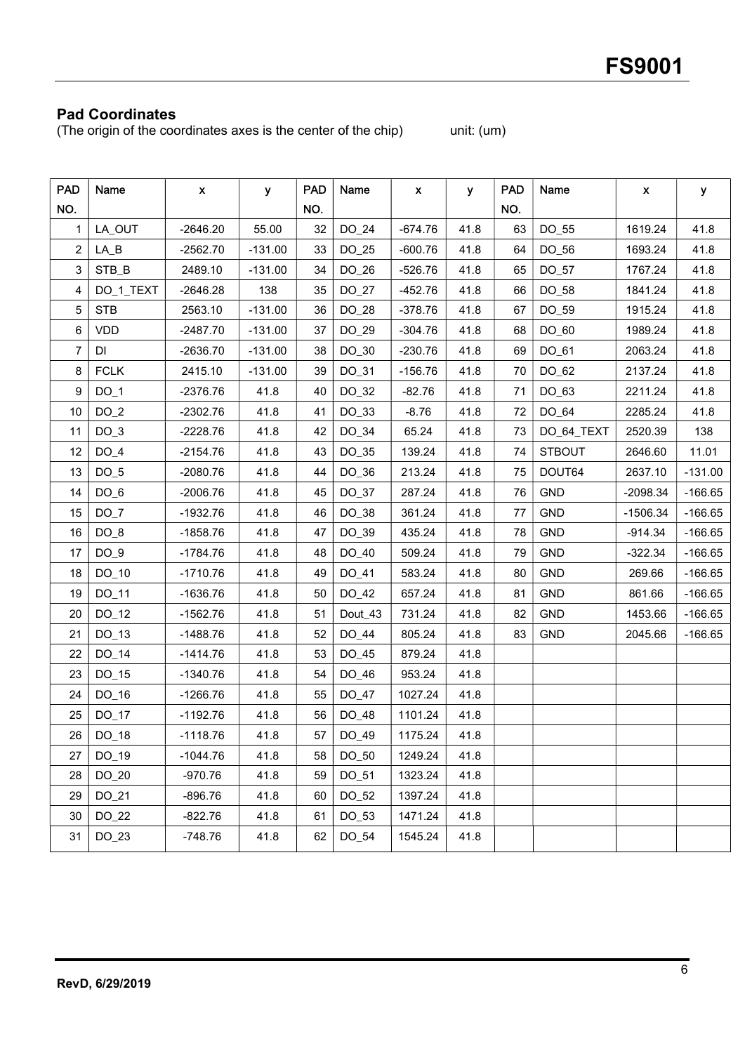## Pad Coordinates

(The origin of the coordinates axes is the center of the chip) unit: (um)

| <b>PAD</b>     | Name        | X          | У         | <b>PAD</b> | Name    | X.        | У    | <b>PAD</b> | Name          | X          | у         |
|----------------|-------------|------------|-----------|------------|---------|-----------|------|------------|---------------|------------|-----------|
| NO.            |             |            |           | NO.        |         |           |      | NO.        |               |            |           |
| 1.             | LA_OUT      | $-2646.20$ | 55.00     | 32         | DO_24   | $-674.76$ | 41.8 | 63         | DO_55         | 1619.24    | 41.8      |
| $\overline{2}$ | LA B        | $-2562.70$ | $-131.00$ | 33         | DO_25   | $-600.76$ | 41.8 | 64         | DO_56         | 1693.24    | 41.8      |
| 3              | STB_B       | 2489.10    | $-131.00$ | 34         | DO_26   | $-526.76$ | 41.8 | 65         | DO_57         | 1767.24    | 41.8      |
| 4              | DO_1_TEXT   | $-2646.28$ | 138       | 35         | DO_27   | $-452.76$ | 41.8 | 66         | DO_58         | 1841.24    | 41.8      |
| 5              | <b>STB</b>  | 2563.10    | $-131.00$ | 36         | DO_28   | $-378.76$ | 41.8 | 67         | DO_59         | 1915.24    | 41.8      |
| 6              | <b>VDD</b>  | $-2487.70$ | $-131.00$ | 37         | DO_29   | $-304.76$ | 41.8 | 68         | DO_60         | 1989.24    | 41.8      |
| 7              | DI          | $-2636.70$ | $-131.00$ | 38         | DO_30   | $-230.76$ | 41.8 | 69         | DO_61         | 2063.24    | 41.8      |
| 8              | <b>FCLK</b> | 2415.10    | $-131.00$ | 39         | DO_31   | $-156.76$ | 41.8 | 70         | DO_62         | 2137.24    | 41.8      |
| 9              | $DO_1$      | -2376.76   | 41.8      | 40         | DO_32   | $-82.76$  | 41.8 | 71         | DO_63         | 2211.24    | 41.8      |
| 10             | $DO_2$      | $-2302.76$ | 41.8      | 41         | DO_33   | $-8.76$   | 41.8 | 72         | DO_64         | 2285.24    | 41.8      |
| 11             | $DO_3$      | $-2228.76$ | 41.8      | 42         | DO_34   | 65.24     | 41.8 | 73         | DO_64_TEXT    | 2520.39    | 138       |
| 12             | $DO_4$      | $-2154.76$ | 41.8      | 43         | DO_35   | 139.24    | 41.8 | 74         | <b>STBOUT</b> | 2646.60    | 11.01     |
| 13             | $DO_5$      | $-2080.76$ | 41.8      | 44         | DO_36   | 213.24    | 41.8 | 75         | DOUT64        | 2637.10    | $-131.00$ |
| 14             | $DO_6$      | $-2006.76$ | 41.8      | 45         | DO_37   | 287.24    | 41.8 | 76         | <b>GND</b>    | $-2098.34$ | $-166.65$ |
| 15             | $DO_7$      | $-1932.76$ | 41.8      | 46         | DO_38   | 361.24    | 41.8 | 77         | <b>GND</b>    | $-1506.34$ | $-166.65$ |
| 16             | $DO_8$      | $-1858.76$ | 41.8      | 47         | DO_39   | 435.24    | 41.8 | 78         | <b>GND</b>    | $-914.34$  | $-166.65$ |
| 17             | $DO_9$      | $-1784.76$ | 41.8      | 48         | DO_40   | 509.24    | 41.8 | 79         | GND           | $-322.34$  | $-166.65$ |
| 18             | $DO_10$     | $-1710.76$ | 41.8      | 49         | DO_41   | 583.24    | 41.8 | 80         | <b>GND</b>    | 269.66     | $-166.65$ |
| 19             | DO_11       | $-1636.76$ | 41.8      | 50         | DO_42   | 657.24    | 41.8 | 81         | <b>GND</b>    | 861.66     | $-166.65$ |
| 20             | $DO_12$     | $-1562.76$ | 41.8      | 51         | Dout_43 | 731.24    | 41.8 | 82         | <b>GND</b>    | 1453.66    | $-166.65$ |
| 21             | $DO_13$     | $-1488.76$ | 41.8      | 52         | DO_44   | 805.24    | 41.8 | 83         | <b>GND</b>    | 2045.66    | $-166.65$ |
| 22             | DO_14       | $-1414.76$ | 41.8      | 53         | DO_45   | 879.24    | 41.8 |            |               |            |           |
| 23             | DO_15       | $-1340.76$ | 41.8      | 54         | DO_46   | 953.24    | 41.8 |            |               |            |           |
| 24             | DO_16       | $-1266.76$ | 41.8      | 55         | DO_47   | 1027.24   | 41.8 |            |               |            |           |
| 25             | $DO_17$     | $-1192.76$ | 41.8      | 56         | DO_48   | 1101.24   | 41.8 |            |               |            |           |
| 26             | DO_18       | $-1118.76$ | 41.8      | 57         | DO_49   | 1175.24   | 41.8 |            |               |            |           |
| 27             | DO_19       | $-1044.76$ | 41.8      | 58         | DO_50   | 1249.24   | 41.8 |            |               |            |           |
| 28             | DO_20       | $-970.76$  | 41.8      | 59         | DO_51   | 1323.24   | 41.8 |            |               |            |           |
| 29             | DO_21       | $-896.76$  | 41.8      | 60         | DO_52   | 1397.24   | 41.8 |            |               |            |           |
| 30             | DO_22       | $-822.76$  | 41.8      | 61         | DO_53   | 1471.24   | 41.8 |            |               |            |           |
| 31             | DO_23       | $-748.76$  | 41.8      | 62         | DO_54   | 1545.24   | 41.8 |            |               |            |           |